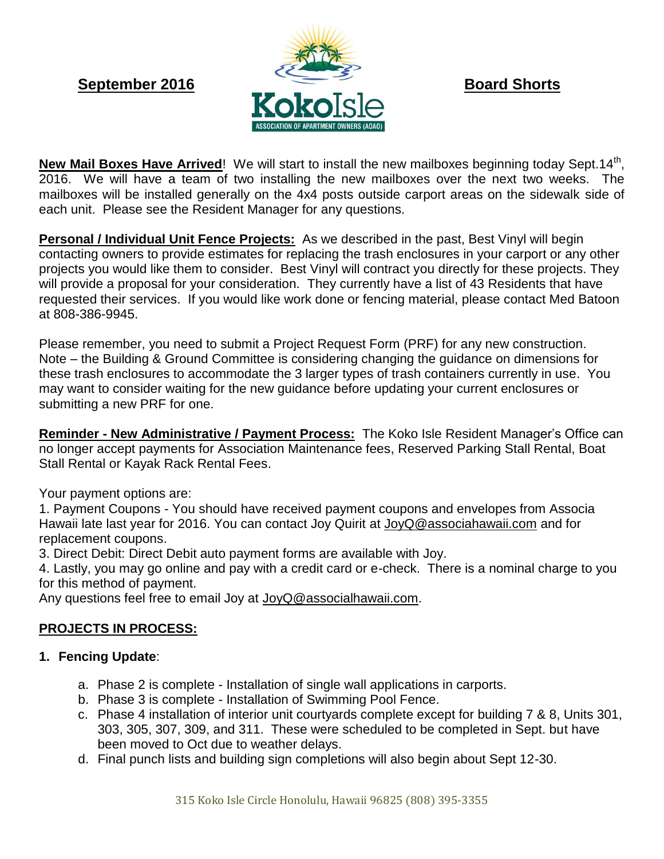

New Mail Boxes Have Arrived! We will start to install the new mailboxes beginning today Sept.14<sup>th</sup>, 2016. We will have a team of two installing the new mailboxes over the next two weeks. The mailboxes will be installed generally on the 4x4 posts outside carport areas on the sidewalk side of each unit. Please see the Resident Manager for any questions.

**Personal / Individual Unit Fence Projects:** As we described in the past, Best Vinyl will begin contacting owners to provide estimates for replacing the trash enclosures in your carport or any other projects you would like them to consider. Best Vinyl will contract you directly for these projects. They will provide a proposal for your consideration. They currently have a list of 43 Residents that have requested their services. If you would like work done or fencing material, please contact Med Batoon at 808-386-9945.

Please remember, you need to submit a Project Request Form (PRF) for any new construction. Note – the Building & Ground Committee is considering changing the guidance on dimensions for these trash enclosures to accommodate the 3 larger types of trash containers currently in use. You may want to consider waiting for the new guidance before updating your current enclosures or submitting a new PRF for one.

**Reminder - New Administrative / Payment Process:** The Koko Isle Resident Manager's Office can no longer accept payments for Association Maintenance fees, Reserved Parking Stall Rental, Boat Stall Rental or Kayak Rack Rental Fees.

Your payment options are:

1. Payment Coupons - You should have received payment coupons and envelopes from Associa Hawaii late last year for 2016. You can contact Joy Quirit at JoyQ@associahawaii.com and for replacement coupons.

3. Direct Debit: Direct Debit auto payment forms are available with Joy.

4. Lastly, you may go online and pay with a credit card or e-check. There is a nominal charge to you for this method of payment.

Any questions feel free to email Joy at [JoyQ@associalhawaii.com.](mailto:JoyQ@associalhawaii.com)

# **PROJECTS IN PROCESS:**

## **1. Fencing Update**:

- a. Phase 2 is complete Installation of single wall applications in carports.
- b. Phase 3 is complete Installation of Swimming Pool Fence.
- c. Phase 4 installation of interior unit courtyards complete except for building 7 & 8, Units 301, 303, 305, 307, 309, and 311. These were scheduled to be completed in Sept. but have been moved to Oct due to weather delays.
- d. Final punch lists and building sign completions will also begin about Sept 12-30.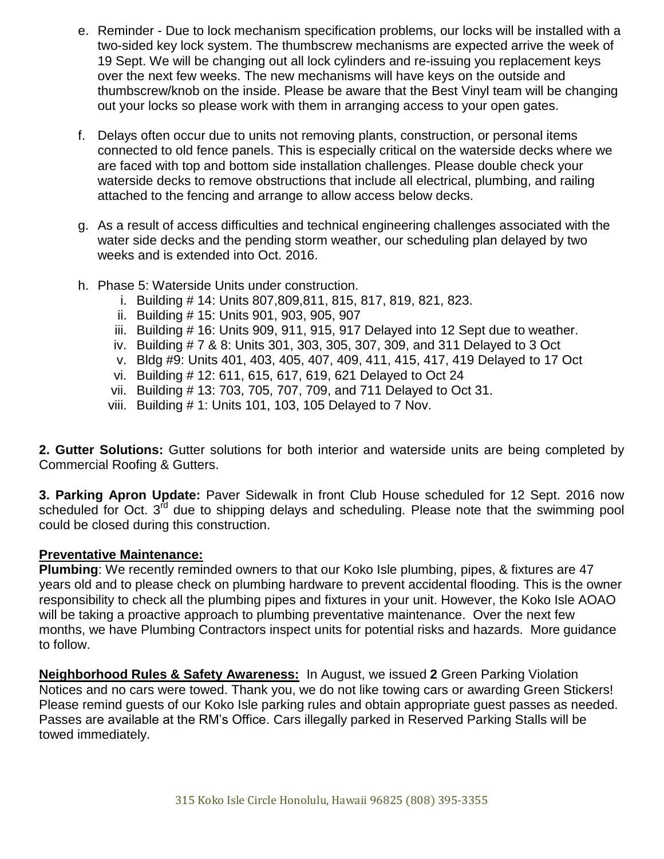- e. Reminder Due to lock mechanism specification problems, our locks will be installed with a two-sided key lock system. The thumbscrew mechanisms are expected arrive the week of 19 Sept. We will be changing out all lock cylinders and re-issuing you replacement keys over the next few weeks. The new mechanisms will have keys on the outside and thumbscrew/knob on the inside. Please be aware that the Best Vinyl team will be changing out your locks so please work with them in arranging access to your open gates.
- f. Delays often occur due to units not removing plants, construction, or personal items connected to old fence panels. This is especially critical on the waterside decks where we are faced with top and bottom side installation challenges. Please double check your waterside decks to remove obstructions that include all electrical, plumbing, and railing attached to the fencing and arrange to allow access below decks.
- g. As a result of access difficulties and technical engineering challenges associated with the water side decks and the pending storm weather, our scheduling plan delayed by two weeks and is extended into Oct. 2016.
- h. Phase 5: Waterside Units under construction.
	- i. Building # 14: Units 807,809,811, 815, 817, 819, 821, 823.
	- ii. Building # 15: Units 901, 903, 905, 907
	- iii. Building # 16: Units 909, 911, 915, 917 Delayed into 12 Sept due to weather.
	- iv. Building # 7 & 8: Units 301, 303, 305, 307, 309, and 311 Delayed to 3 Oct
	- v. Bldg #9: Units 401, 403, 405, 407, 409, 411, 415, 417, 419 Delayed to 17 Oct
	- vi. Building # 12: 611, 615, 617, 619, 621 Delayed to Oct 24
	- vii. Building # 13: 703, 705, 707, 709, and 711 Delayed to Oct 31.
	- viii. Building # 1: Units 101, 103, 105 Delayed to 7 Nov.

**2. Gutter Solutions:** Gutter solutions for both interior and waterside units are being completed by Commercial Roofing & Gutters.

**3. Parking Apron Update:** Paver Sidewalk in front Club House scheduled for 12 Sept. 2016 now scheduled for Oct. 3<sup>rd</sup> due to shipping delays and scheduling. Please note that the swimming pool could be closed during this construction.

### **Preventative Maintenance:**

**Plumbing**: We recently reminded owners to that our Koko Isle plumbing, pipes, & fixtures are 47 years old and to please check on plumbing hardware to prevent accidental flooding. This is the owner responsibility to check all the plumbing pipes and fixtures in your unit. However, the Koko Isle AOAO will be taking a proactive approach to plumbing preventative maintenance. Over the next few months, we have Plumbing Contractors inspect units for potential risks and hazards. More guidance to follow.

**Neighborhood Rules & Safety Awareness:** In August, we issued **2** Green Parking Violation Notices and no cars were towed. Thank you, we do not like towing cars or awarding Green Stickers! Please remind guests of our Koko Isle parking rules and obtain appropriate guest passes as needed. Passes are available at the RM's Office. Cars illegally parked in Reserved Parking Stalls will be towed immediately.